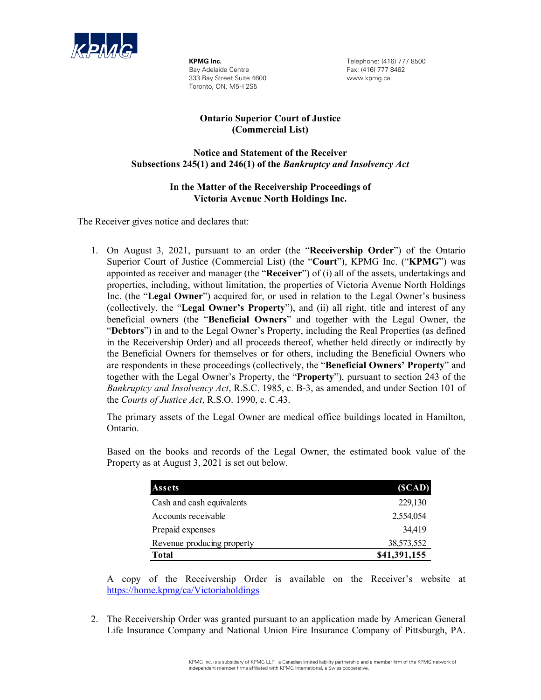

**KPMG Inc.** Bay Adelaide Centre 333 Bay Street Suite 4600 Toronto, ON, M5H 2S5

Telephone: (416) 777 8500 Fax: (416) 777 8462 www.kpmg.ca

## **Ontario Superior Court of Justice (Commercial List)**

## **Notice and Statement of the Receiver Subsections 245(1) and 246(1) of the** *Bankruptcy and Insolvency Act*

## **In the Matter of the Receivership Proceedings of Victoria Avenue North Holdings Inc.**

The Receiver gives notice and declares that:

1. On August 3, 2021, pursuant to an order (the "**Receivership Order**") of the Ontario Superior Court of Justice (Commercial List) (the "**Court**"), KPMG Inc. ("**KPMG**") was appointed as receiver and manager (the "**Receiver**") of (i) all of the assets, undertakings and properties, including, without limitation, the properties of Victoria Avenue North Holdings Inc. (the "**Legal Owner**") acquired for, or used in relation to the Legal Owner's business (collectively, the "**Legal Owner's Property**"), and (ii) all right, title and interest of any beneficial owners (the "**Beneficial Owners**" and together with the Legal Owner, the "**Debtors**") in and to the Legal Owner's Property, including the Real Properties (as defined in the Receivership Order) and all proceeds thereof, whether held directly or indirectly by the Beneficial Owners for themselves or for others, including the Beneficial Owners who are respondents in these proceedings (collectively, the "**Beneficial Owners' Property**" and together with the Legal Owner's Property, the "**Property**"), pursuant to section 243 of the *Bankruptcy and Insolvency Act*, R.S.C. 1985, c. B-3, as amended, and under Section 101 of the *Courts of Justice Act*, R.S.O. 1990, c. C.43.

The primary assets of the Legal Owner are medical office buildings located in Hamilton, Ontario.

Based on the books and records of the Legal Owner, the estimated book value of the Property as at August 3, 2021 is set out below.

| Assets                     | (SCAD)       |
|----------------------------|--------------|
| Cash and cash equivalents  | 229,130      |
| Accounts receivable        | 2,554,054    |
| Prepaid expenses           | 34,419       |
| Revenue producing property | 38,573,552   |
| Total                      | \$41,391,155 |

A copy of the Receivership Order is available on the Receiver's website at https://home.kpmg/ca/Victoriaholdings

2. The Receivership Order was granted pursuant to an application made by American General Life Insurance Company and National Union Fire Insurance Company of Pittsburgh, PA.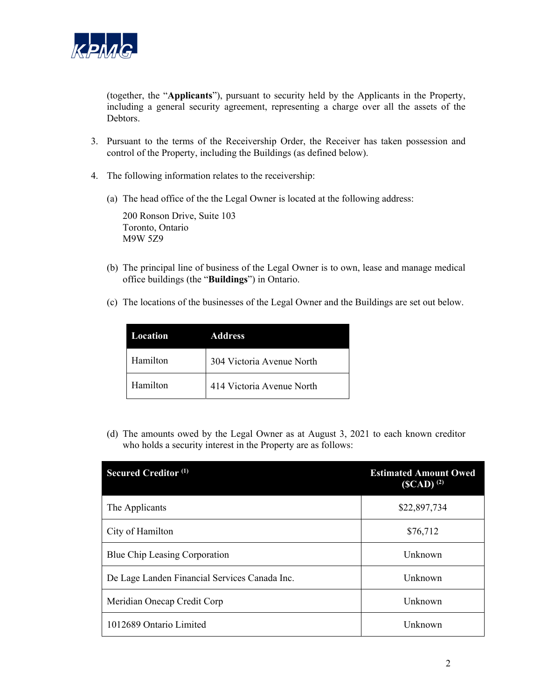

(together, the "**Applicants**"), pursuant to security held by the Applicants in the Property, including a general security agreement, representing a charge over all the assets of the Debtors.

- 3. Pursuant to the terms of the Receivership Order, the Receiver has taken possession and control of the Property, including the Buildings (as defined below).
- 4. The following information relates to the receivership:
	- (a) The head office of the the Legal Owner is located at the following address:

200 Ronson Drive, Suite 103 Toronto, Ontario M9W 5Z9

- (b) The principal line of business of the Legal Owner is to own, lease and manage medical office buildings (the "**Buildings**") in Ontario.
- (c) The locations of the businesses of the Legal Owner and the Buildings are set out below.

| <b>Location</b> | Address                   |
|-----------------|---------------------------|
| Hamilton        | 304 Victoria Avenue North |
| Hamilton        | 414 Victoria Avenue North |

(d) The amounts owed by the Legal Owner as at August 3, 2021 to each known creditor who holds a security interest in the Property are as follows:

| <b>Secured Creditor (1)</b>                   | <b>Estimated Amount Owed</b><br>$(GCD)^{(2)}$ |
|-----------------------------------------------|-----------------------------------------------|
| The Applicants                                | \$22,897,734                                  |
| City of Hamilton                              | \$76,712                                      |
| Blue Chip Leasing Corporation                 | Unknown                                       |
| De Lage Landen Financial Services Canada Inc. | Unknown                                       |
| Meridian Onecap Credit Corp                   | Unknown                                       |
| 1012689 Ontario Limited                       | Unknown                                       |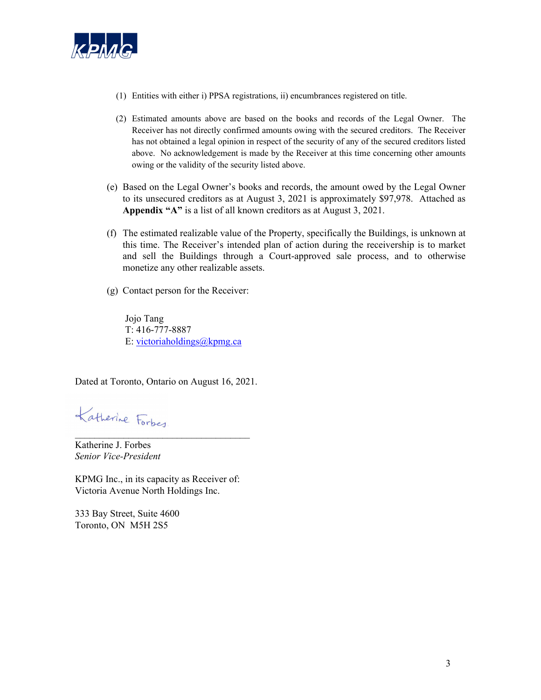

- (1) Entities with either i) PPSA registrations, ii) encumbrances registered on title.
- (2) Estimated amounts above are based on the books and records of the Legal Owner. The Receiver has not directly confirmed amounts owing with the secured creditors. The Receiver has not obtained a legal opinion in respect of the security of any of the secured creditors listed above. No acknowledgement is made by the Receiver at this time concerning other amounts owing or the validity of the security listed above.
- (e) Based on the Legal Owner's books and records, the amount owed by the Legal Owner to its unsecured creditors as at August 3, 2021 is approximately \$97,978. Attached as **Appendix "A"** is a list of all known creditors as at August 3, 2021.
- (f) The estimated realizable value of the Property, specifically the Buildings, is unknown at this time. The Receiver's intended plan of action during the receivership is to market and sell the Buildings through a Court-approved sale process, and to otherwise monetize any other realizable assets.
- (g) Contact person for the Receiver:

Jojo Tang T: 416-777-8887 E: victoriaholdings@kpmg.ca

Dated at Toronto, Ontario on August 16, 2021.

Katherine Forbes.

Katherine J. Forbes *Senior Vice-President* 

KPMG Inc., in its capacity as Receiver of: Victoria Avenue North Holdings Inc.

333 Bay Street, Suite 4600 Toronto, ON M5H 2S5